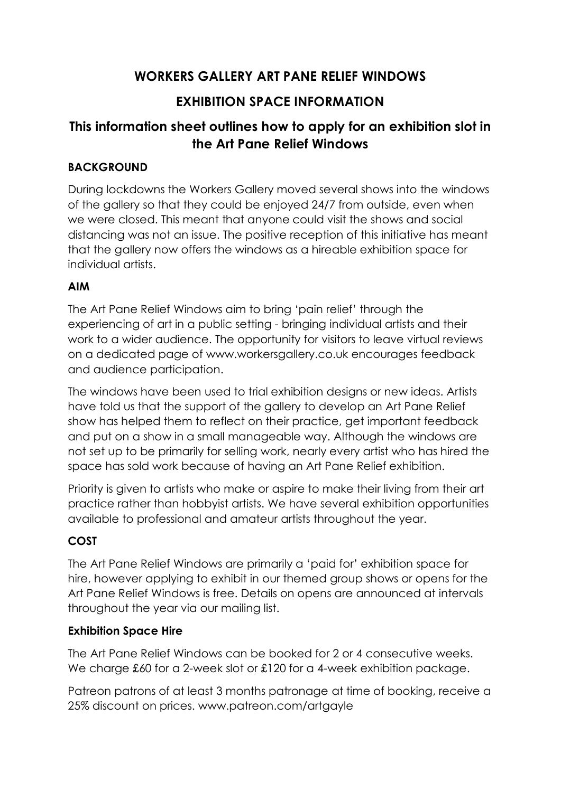# **WORKERS GALLERY ART PANE RELIEF WINDOWS**

## **EXHIBITION SPACE INFORMATION**

# **This information sheet outlines how to apply for an exhibition slot in the Art Pane Relief Windows**

### **BACKGROUND**

During lockdowns the Workers Gallery moved several shows into the windows of the gallery so that they could be enjoyed 24/7 from outside, even when we were closed. This meant that anyone could visit the shows and social distancing was not an issue. The positive reception of this initiative has meant that the gallery now offers the windows as a hireable exhibition space for individual artists.

#### **AIM**

The Art Pane Relief Windows aim to bring 'pain relief' through the experiencing of art in a public setting - bringing individual artists and their work to a wider audience. The opportunity for visitors to leave virtual reviews on a dedicated page of www.workersgallery.co.uk encourages feedback and audience participation.

The windows have been used to trial exhibition designs or new ideas. Artists have told us that the support of the gallery to develop an Art Pane Relief show has helped them to reflect on their practice, get important feedback and put on a show in a small manageable way. Although the windows are not set up to be primarily for selling work, nearly every artist who has hired the space has sold work because of having an Art Pane Relief exhibition.

Priority is given to artists who make or aspire to make their living from their art practice rather than hobbyist artists. We have several exhibition opportunities available to professional and amateur artists throughout the year.

## **COST**

The Art Pane Relief Windows are primarily a 'paid for' exhibition space for hire, however applying to exhibit in our themed group shows or opens for the Art Pane Relief Windows is free. Details on opens are announced at intervals throughout the year via our mailing list.

#### **Exhibition Space Hire**

The Art Pane Relief Windows can be booked for 2 or 4 consecutive weeks. We charge £60 for a 2-week slot or £120 for a 4-week exhibition package.

Patreon patrons of at least 3 months patronage at time of booking, receive a 25% discount on prices. www.patreon.com/artgayle